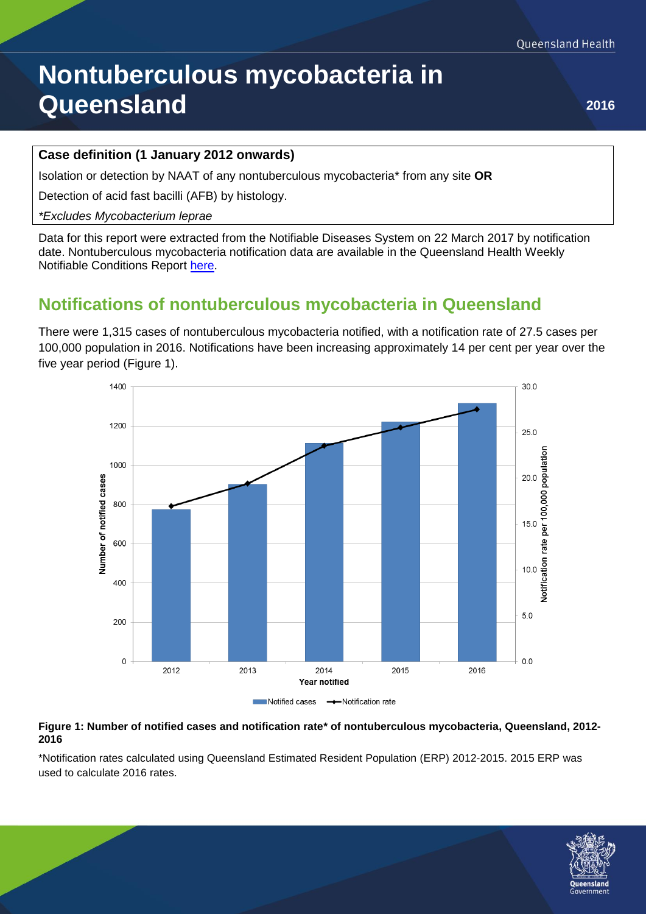# **Nontuberculous mycobacteria in Queensland <sup>2016</sup>**

#### **Case definition (1 January 2012 onwards)**

Isolation or detection by NAAT of any nontuberculous mycobacteria\* from any site **OR**

Detection of acid fast bacilli (AFB) by histology.

#### *\*Excludes Mycobacterium leprae*

Data for this report were extracted from the Notifiable Diseases System on 22 March 2017 by notification date. Nontuberculous mycobacteria notification data are available in the Queensland Health Weekly Notifiable Conditions Report [here.](https://www.health.qld.gov.au/clinical-practice/guidelines-procedures/diseases-infection/surveillance/reports/notifiable/default.asp)

## **Notifications of nontuberculous mycobacteria in Queensland**

There were 1,315 cases of nontuberculous mycobacteria notified, with a notification rate of 27.5 cases per 100,000 population in 2016. Notifications have been increasing approximately 14 per cent per year over the five year period (Figure 1).





#### **Figure 1: Number of notified cases and notification rate\* of nontuberculous mycobacteria, Queensland, 2012- 2016**

\*Notification rates calculated using Queensland Estimated Resident Population (ERP) 2012-2015. 2015 ERP was used to calculate 2016 rates.

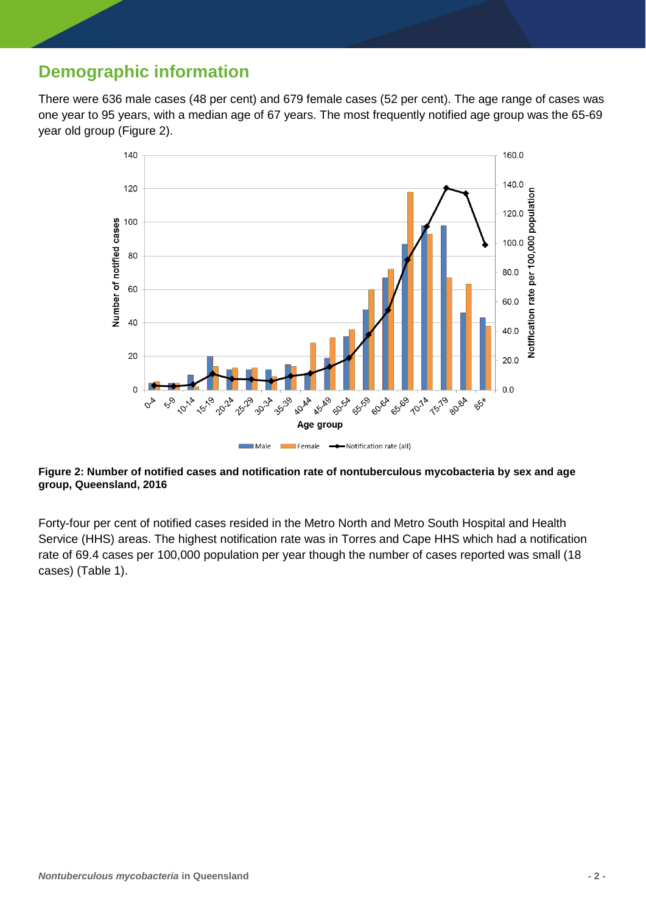## **Demographic information**

There were 636 male cases (48 per cent) and 679 female cases (52 per cent). The age range of cases was one year to 95 years, with a median age of 67 years. The most frequently notified age group was the 65-69 year old group (Figure 2).



#### **Figure 2: Number of notified cases and notification rate of nontuberculous mycobacteria by sex and age group, Queensland, 2016**

Forty-four per cent of notified cases resided in the Metro North and Metro South Hospital and Health Service (HHS) areas. The highest notification rate was in Torres and Cape HHS which had a notification rate of 69.4 cases per 100,000 population per year though the number of cases reported was small (18 cases) (Table 1).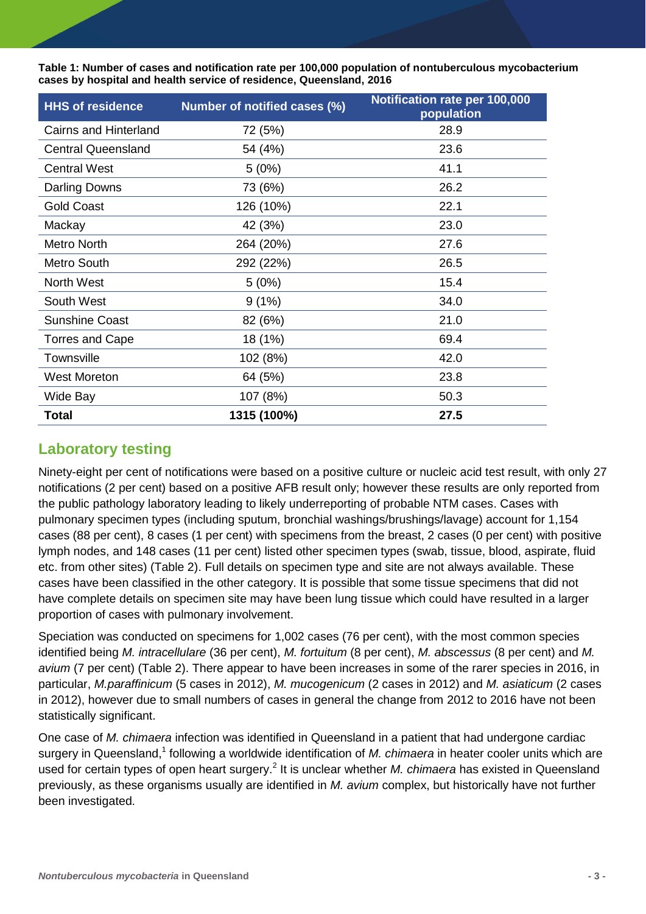**Table 1: Number of cases and notification rate per 100,000 population of nontuberculous mycobacterium cases by hospital and health service of residence, Queensland, 2016**

| <b>HHS of residence</b>   | Number of notified cases (%) | Notification rate per 100,000<br>population |  |  |
|---------------------------|------------------------------|---------------------------------------------|--|--|
| Cairns and Hinterland     | 72 (5%)                      | 28.9                                        |  |  |
| <b>Central Queensland</b> | 54 (4%)                      | 23.6                                        |  |  |
| <b>Central West</b>       | 5(0%)                        | 41.1                                        |  |  |
| Darling Downs             | 73 (6%)                      | 26.2                                        |  |  |
| <b>Gold Coast</b>         | 126 (10%)                    | 22.1                                        |  |  |
| Mackay                    | 42 (3%)                      | 23.0                                        |  |  |
| <b>Metro North</b>        | 264 (20%)                    | 27.6                                        |  |  |
| Metro South               | 292 (22%)                    | 26.5                                        |  |  |
| <b>North West</b>         | 5(0%)                        | 15.4                                        |  |  |
| South West                | 9(1%)                        | 34.0                                        |  |  |
| <b>Sunshine Coast</b>     | 82 (6%)                      | 21.0                                        |  |  |
| Torres and Cape           | 18 (1%)                      | 69.4                                        |  |  |
| Townsville                | 102 (8%)                     | 42.0                                        |  |  |
| <b>West Moreton</b>       | 64 (5%)                      | 23.8                                        |  |  |
| Wide Bay                  | 107 (8%)                     | 50.3                                        |  |  |
| <b>Total</b>              | 1315 (100%)                  | 27.5                                        |  |  |

### **Laboratory testing**

Ninety-eight per cent of notifications were based on a positive culture or nucleic acid test result, with only 27 notifications (2 per cent) based on a positive AFB result only; however these results are only reported from the public pathology laboratory leading to likely underreporting of probable NTM cases. Cases with pulmonary specimen types (including sputum, bronchial washings/brushings/lavage) account for 1,154 cases (88 per cent), 8 cases (1 per cent) with specimens from the breast, 2 cases (0 per cent) with positive lymph nodes, and 148 cases (11 per cent) listed other specimen types (swab, tissue, blood, aspirate, fluid etc. from other sites) (Table 2). Full details on specimen type and site are not always available. These cases have been classified in the other category. It is possible that some tissue specimens that did not have complete details on specimen site may have been lung tissue which could have resulted in a larger proportion of cases with pulmonary involvement.

Speciation was conducted on specimens for 1,002 cases (76 per cent), with the most common species identified being *M. intracellulare* (36 per cent), *M. fortuitum* (8 per cent), *M. abscessus* (8 per cent) and *M. avium* (7 per cent) (Table 2). There appear to have been increases in some of the rarer species in 2016, in particular, *M.paraffinicum* (5 cases in 2012), *M. mucogenicum* (2 cases in 2012) and *M. asiaticum* (2 cases in 2012), however due to small numbers of cases in general the change from 2012 to 2016 have not been statistically significant.

One case of *M. chimaera* infection was identified in Queensland in a patient that had undergone cardiac surgery in Queensland,<sup>1</sup> following a worldwide identification of *M. chimaera* in heater cooler units which are used for certain types of open heart surgery.<sup>2</sup> It is unclear whether *M. chimaera* has existed in Queensland previously, as these organisms usually are identified in *M. avium* complex, but historically have not further been investigated.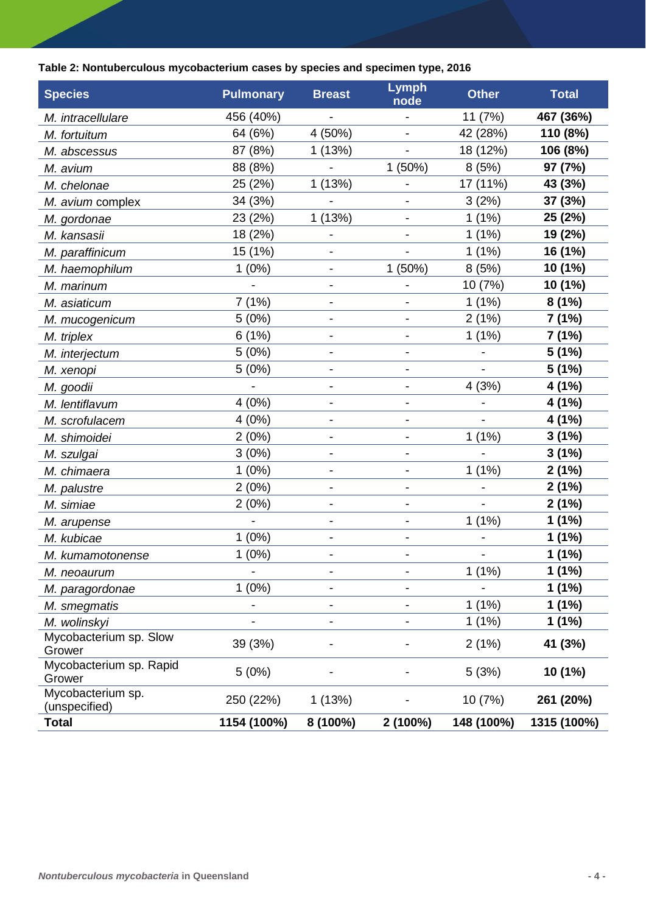### **Table 2: Nontuberculous mycobacterium cases by species and specimen type, 2016**

| <b>Species</b>              | <b>Pulmonary</b> | <b>Breast</b>                | <b>Lymph</b><br>node     | <b>Other</b> | <b>Total</b> |
|-----------------------------|------------------|------------------------------|--------------------------|--------------|--------------|
| M. intracellulare           | 456 (40%)        |                              |                          | 11 (7%)      | 467 (36%)    |
| M. fortuitum                | 64 (6%)          | 4 (50%)                      | $\overline{\phantom{a}}$ | 42 (28%)     | 110 (8%)     |
| M. abscessus                | 87 (8%)          | 1(13%)                       |                          | 18 (12%)     | 106 (8%)     |
| M. avium                    | 88 (8%)          |                              | 1(50%)                   | 8(5%)        | 97 (7%)      |
| M. chelonae                 | 25 (2%)          | 1(13%)                       | $\overline{\phantom{a}}$ | 17 (11%)     | 43 (3%)      |
| M. avium complex            | 34 (3%)          |                              |                          | 3(2%)        | 37 (3%)      |
| M. gordonae                 | 23 (2%)          | 1(13%)                       | $\overline{\phantom{a}}$ | 1(1%)        | 25 (2%)      |
| M. kansasii                 | 18 (2%)          |                              |                          | 1(1%)        | 19 (2%)      |
| M. paraffinicum             | 15 (1%)          |                              |                          | 1(1%)        | 16 (1%)      |
| M. haemophilum              | $1(0\%)$         | $\overline{\phantom{a}}$     | 1(50%)                   | 8(5%)        | 10 (1%)      |
| M. marinum                  |                  |                              |                          | 10 (7%)      | 10 (1%)      |
| M. asiaticum                | 7(1%)            | $\qquad \qquad \blacksquare$ |                          | $1(1\%)$     | 8(1%)        |
| M. mucogenicum              | 5(0%)            |                              |                          | 2(1%)        | 7(1%)        |
| M. triplex                  | 6(1%)            |                              |                          | 1(1%)        | 7 (1%)       |
| M. interjectum              | 5(0%)            | -                            |                          |              | 5(1%)        |
| M. xenopi                   | 5(0%)            | $\overline{\phantom{a}}$     | $\overline{a}$           |              | 5 (1%)       |
| M. goodii                   |                  |                              |                          | 4(3%)        | 4(1%)        |
| M. lentiflavum              | 4(0%)            |                              |                          |              | 4 (1%)       |
| M. scrofulacem              | 4(0%)            | $\overline{\phantom{0}}$     |                          |              | 4 (1%)       |
| M. shimoidei                | 2(0%)            |                              |                          | 1(1%)        | 3(1%)        |
| M. szulgai                  | 3(0%)            |                              |                          |              | 3(1%)        |
| M. chimaera                 | 1(0%)            | $\overline{\phantom{a}}$     | $\overline{\phantom{a}}$ | $1(1\%)$     | 2(1%)        |
| M. palustre                 | 2(0%)            |                              |                          |              | 2(1%)        |
| M. simiae                   | 2(0%)            |                              |                          |              | 2(1%)        |
| M. arupense                 |                  | $\overline{\phantom{0}}$     |                          | 1(1%)        | 1(1%)        |
| M. kubicae                  | $1(0\%)$         | $\qquad \qquad \blacksquare$ |                          |              | 1(1%)        |
| M. kumamotonense            | $1(0\%)$         |                              |                          |              | 1(1%)        |
| M. neoaurum                 |                  | -                            |                          | 1(1%)        | 1(1%)        |
| M. paragordonae             | $1(0\%)$         | $\overline{\phantom{a}}$     |                          |              | 1(1%)        |
| M. smegmatis                |                  | $\qquad \qquad \blacksquare$ |                          | 1(1%)        | 1(1%)        |
| M. wolinskyi                |                  | -                            | -                        | $1(1\%)$     | 1(1%)        |
| Mycobacterium sp. Slow      | 39 (3%)          |                              |                          | 2(1%)        | 41 (3%)      |
| Grower                      |                  |                              |                          |              |              |
| Mycobacterium sp. Rapid     | 5(0%)            |                              |                          | 5(3%)        | 10 (1%)      |
| Grower<br>Mycobacterium sp. |                  |                              |                          |              |              |
| (unspecified)               | 250 (22%)        | 1 (13%)                      |                          | 10 (7%)      | 261 (20%)    |
| <b>Total</b>                | 1154 (100%)      | 8 (100%)                     | 2 (100%)                 | 148 (100%)   | 1315 (100%)  |